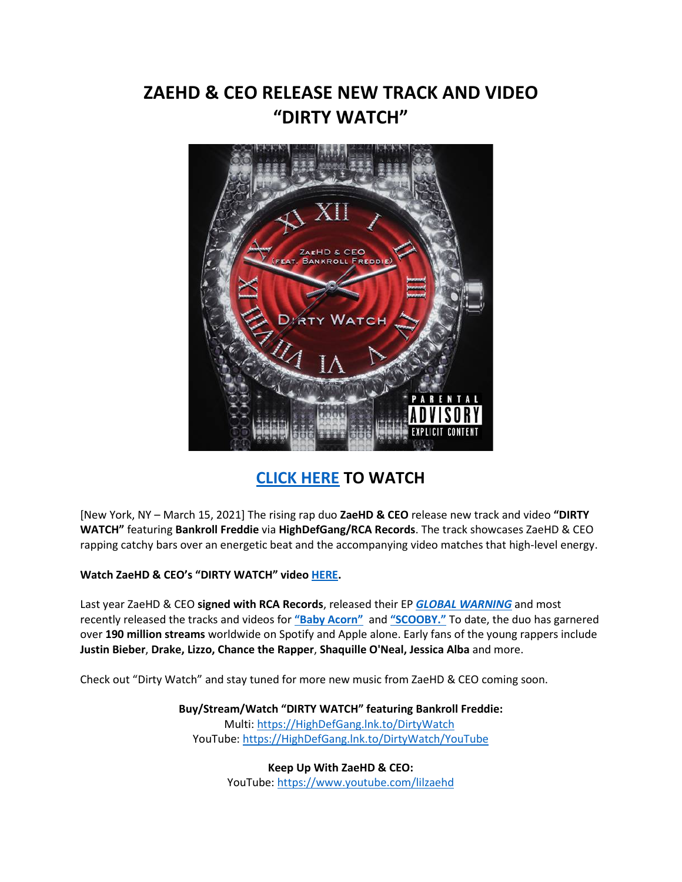# **ZAEHD & CEO RELEASE NEW TRACK AND VIDEO "DIRTY WATCH"**



## **[CLICK HERE](https://eur01.safelinks.protection.outlook.com/?url=https%3A%2F%2Fhighdefgang.lnk.to%2FDirtyWatch%2FYouTube&data=04%7C01%7Cnicole.hagiwara%40rcarecords.com%7C32765944d5ca4836322a08d8e7f244c5%7Cf0aff3b791a54aaeaf71c63e1dda2049%7C0%7C0%7C637514375018957621%7CUnknown%7CTWFpbGZsb3d8eyJWIjoiMC4wLjAwMDAiLCJQIjoiV2luMzIiLCJBTiI6Ik1haWwiLCJXVCI6Mn0%3D%7C1000&sdata=RUK%2BH7yiqARzmfutcBD6Us9U3u61SmxNdnIPkeOvI0M%3D&reserved=0) TO WATCH**

[New York, NY – March 15, 2021] The rising rap duo **ZaeHD & CEO** release new track and video **"DIRTY WATCH"** featuring **Bankroll Freddie** via **HighDefGang/RCA Records**. The track showcases ZaeHD & CEO rapping catchy bars over an energetic beat and the accompanying video matches that high-level energy.

**Watch ZaeHD & CEO's "DIRTY WATCH" video [HERE.](https://eur01.safelinks.protection.outlook.com/?url=https%3A%2F%2Fhighdefgang.lnk.to%2FDirtyWatch%2FYouTube&data=04%7C01%7Cnicole.hagiwara%40rcarecords.com%7C32765944d5ca4836322a08d8e7f244c5%7Cf0aff3b791a54aaeaf71c63e1dda2049%7C0%7C0%7C637514375018957621%7CUnknown%7CTWFpbGZsb3d8eyJWIjoiMC4wLjAwMDAiLCJQIjoiV2luMzIiLCJBTiI6Ik1haWwiLCJXVCI6Mn0%3D%7C1000&sdata=RUK%2BH7yiqARzmfutcBD6Us9U3u61SmxNdnIPkeOvI0M%3D&reserved=0)**

Last year ZaeHD & CEO **signed with RCA Records**, released their EP *[GLOBAL WARNING](https://eur01.safelinks.protection.outlook.com/?url=https%3A%2F%2Fhighdefgang.lnk.to%2FGlobalWarning&data=04%7C01%7Cnicole.hagiwara%40rcarecords.com%7C32765944d5ca4836322a08d8e7f244c5%7Cf0aff3b791a54aaeaf71c63e1dda2049%7C0%7C0%7C637514375018967582%7CUnknown%7CTWFpbGZsb3d8eyJWIjoiMC4wLjAwMDAiLCJQIjoiV2luMzIiLCJBTiI6Ik1haWwiLCJXVCI6Mn0%3D%7C1000&sdata=kxV4FgVxvV%2FGgXEfTQ%2FD7qcJAsKRyOcYkioMuXLptzE%3D&reserved=0)* and most recently released the tracks and videos for **["Baby Acorn"](https://eur01.safelinks.protection.outlook.com/?url=https%3A%2F%2Fwww.youtube.com%2Fwatch%3Fv%3DIuMTAxXJ-cU&data=04%7C01%7Cnicole.hagiwara%40rcarecords.com%7C32765944d5ca4836322a08d8e7f244c5%7Cf0aff3b791a54aaeaf71c63e1dda2049%7C0%7C0%7C637514375018967582%7CUnknown%7CTWFpbGZsb3d8eyJWIjoiMC4wLjAwMDAiLCJQIjoiV2luMzIiLCJBTiI6Ik1haWwiLCJXVCI6Mn0%3D%7C1000&sdata=PrgYKEtiSHzV0qIxJto8U7L12VAJFxuxQSINzQq0Fgs%3D&reserved=0)** and **["SCOOBY."](https://eur01.safelinks.protection.outlook.com/?url=https%3A%2F%2Fhighdefgang.lnk.to%2FScooby&data=04%7C01%7Cnicole.hagiwara%40rcarecords.com%7C32765944d5ca4836322a08d8e7f244c5%7Cf0aff3b791a54aaeaf71c63e1dda2049%7C0%7C0%7C637514375018967582%7CUnknown%7CTWFpbGZsb3d8eyJWIjoiMC4wLjAwMDAiLCJQIjoiV2luMzIiLCJBTiI6Ik1haWwiLCJXVCI6Mn0%3D%7C1000&sdata=3qPksxmH%2Be%2FVFEyxIMmhuJ5dye4d9Dk82KavcvKlC34%3D&reserved=0)** To date, the duo has garnered over **190 million streams** worldwide on Spotify and Apple alone. Early fans of the young rappers include **Justin Bieber**, **Drake, Lizzo, Chance the Rapper**, **Shaquille O'Neal, Jessica Alba** and more.

Check out "Dirty Watch" and stay tuned for more new music from ZaeHD & CEO coming soon.

**Buy/Stream/Watch "DIRTY WATCH" featuring Bankroll Freddie:**

Multi: [https://HighDefGang.lnk.to/DirtyWatch](https://eur01.safelinks.protection.outlook.com/?url=https%3A%2F%2Fhighdefgang.lnk.to%2FDirtyWatch&data=04%7C01%7Cnicole.hagiwara%40rcarecords.com%7C32765944d5ca4836322a08d8e7f244c5%7Cf0aff3b791a54aaeaf71c63e1dda2049%7C0%7C0%7C637514375018977536%7CUnknown%7CTWFpbGZsb3d8eyJWIjoiMC4wLjAwMDAiLCJQIjoiV2luMzIiLCJBTiI6Ik1haWwiLCJXVCI6Mn0%3D%7C1000&sdata=cgbxKa2e0rHmY9vCyBOeb9l8K5Ez8GnrLU4Y0vDlaec%3D&reserved=0) YouTube: [https://HighDefGang.lnk.to/DirtyWatch/YouTube](https://eur01.safelinks.protection.outlook.com/?url=https%3A%2F%2Fhighdefgang.lnk.to%2FDirtyWatch%2FYouTube&data=04%7C01%7Cnicole.hagiwara%40rcarecords.com%7C32765944d5ca4836322a08d8e7f244c5%7Cf0aff3b791a54aaeaf71c63e1dda2049%7C0%7C0%7C637514375018977536%7CUnknown%7CTWFpbGZsb3d8eyJWIjoiMC4wLjAwMDAiLCJQIjoiV2luMzIiLCJBTiI6Ik1haWwiLCJXVCI6Mn0%3D%7C1000&sdata=fU0cTeKbNQTRwnZF%2Fa1b%2BOyFaDAbLkVRq7ATFB1h3Jc%3D&reserved=0)

> **Keep Up With ZaeHD & CEO:** YouTube: [https://www.youtube.com/lilzaehd](https://eur01.safelinks.protection.outlook.com/?url=https%3A%2F%2Fwww.youtube.com%2Flilzaehd&data=04%7C01%7Cnicole.hagiwara%40rcarecords.com%7C32765944d5ca4836322a08d8e7f244c5%7Cf0aff3b791a54aaeaf71c63e1dda2049%7C0%7C0%7C637514375018977536%7CUnknown%7CTWFpbGZsb3d8eyJWIjoiMC4wLjAwMDAiLCJQIjoiV2luMzIiLCJBTiI6Ik1haWwiLCJXVCI6Mn0%3D%7C1000&sdata=Di2XleuOLco9PBrvhs%2Bh7oJVEioy3hD4kKW5U2Xl58Q%3D&reserved=0)